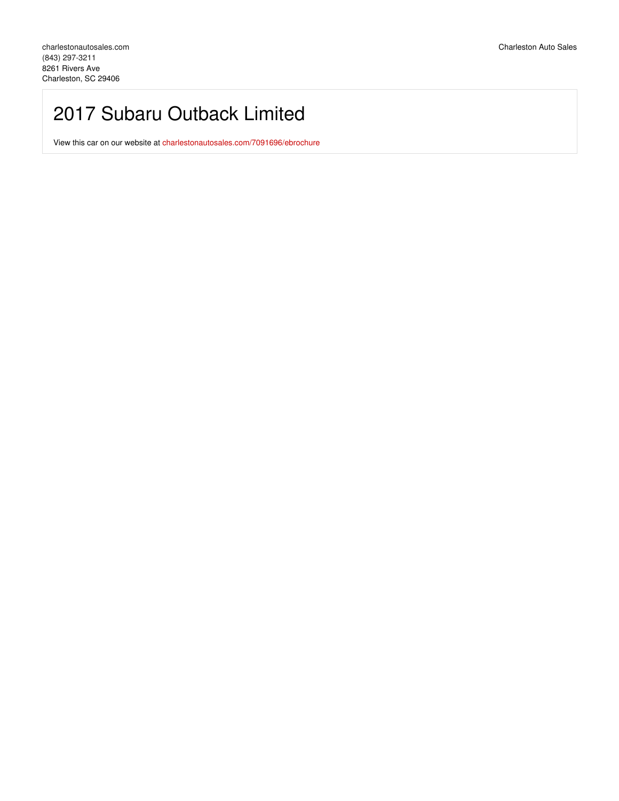# 2017 Subaru Outback Limited

View this car on our website at [charlestonautosales.com/7091696/ebrochure](https://charlestonautosales.com/vehicle/7091696/2017-subaru-outback-limited-charleston-sc-29406/7091696/ebrochure)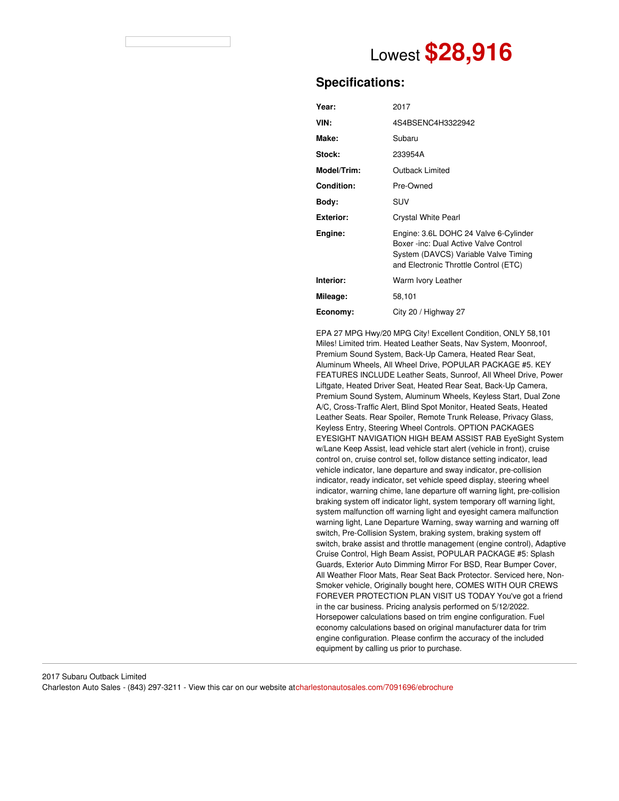

# **Specifications:**

| Year:            | 2017                                                                                                                                                            |
|------------------|-----------------------------------------------------------------------------------------------------------------------------------------------------------------|
| VIN:             | 4S4BSENC4H3322942                                                                                                                                               |
| Make:            | Subaru                                                                                                                                                          |
| Stock:           | 233954A                                                                                                                                                         |
| Model/Trim:      | Outback Limited                                                                                                                                                 |
| Condition:       | Pre-Owned                                                                                                                                                       |
| Body:            | SUV                                                                                                                                                             |
| <b>Exterior:</b> | <b>Crystal White Pearl</b>                                                                                                                                      |
| Engine:          | Engine: 3.6L DOHC 24 Valve 6-Cylinder<br>Boxer -inc: Dual Active Valve Control<br>System (DAVCS) Variable Valve Timing<br>and Electronic Throttle Control (ETC) |
| Interior:        | Warm Ivory Leather                                                                                                                                              |
| Mileage:         | 58,101                                                                                                                                                          |
| Economy:         | City 20 / Highway 27                                                                                                                                            |

EPA 27 MPG Hwy/20 MPG City! Excellent Condition, ONLY 58,101 Miles! Limited trim. Heated Leather Seats, Nav System, Moonroof, Premium Sound System, Back-Up Camera, Heated Rear Seat, Aluminum Wheels, All Wheel Drive, POPULAR PACKAGE #5. KEY FEATURES INCLUDE Leather Seats, Sunroof, All Wheel Drive, Power Liftgate, Heated Driver Seat, Heated Rear Seat, Back-Up Camera, Premium Sound System, Aluminum Wheels, Keyless Start, Dual Zone A/C, Cross-Traffic Alert, Blind Spot Monitor, Heated Seats, Heated Leather Seats. Rear Spoiler, Remote Trunk Release, Privacy Glass, Keyless Entry, Steering Wheel Controls. OPTION PACKAGES EYESIGHT NAVIGATION HIGH BEAM ASSIST RAB EyeSight System w/Lane Keep Assist, lead vehicle start alert (vehicle in front), cruise control on, cruise control set, follow distance setting indicator, lead vehicle indicator, lane departure and sway indicator, pre-collision indicator, ready indicator, set vehicle speed display, steering wheel indicator, warning chime, lane departure off warning light, pre-collision braking system off indicator light, system temporary off warning light, system malfunction off warning light and eyesight camera malfunction warning light, Lane Departure Warning, sway warning and warning off switch, Pre-Collision System, braking system, braking system off switch, brake assist and throttle management (engine control), Adaptive Cruise Control, High Beam Assist, POPULAR PACKAGE #5: Splash Guards, Exterior Auto Dimming Mirror For BSD, Rear Bumper Cover, All Weather Floor Mats, Rear Seat Back Protector. Serviced here, Non-Smoker vehicle, Originally bought here, COMES WITH OUR CREWS FOREVER PROTECTION PLAN VISIT US TODAY You've got a friend in the car business. Pricing analysis performed on 5/12/2022. Horsepower calculations based on trim engine configuration. Fuel economy calculations based on original manufacturer data for trim engine configuration. Please confirm the accuracy of the included equipment by calling us prior to purchase.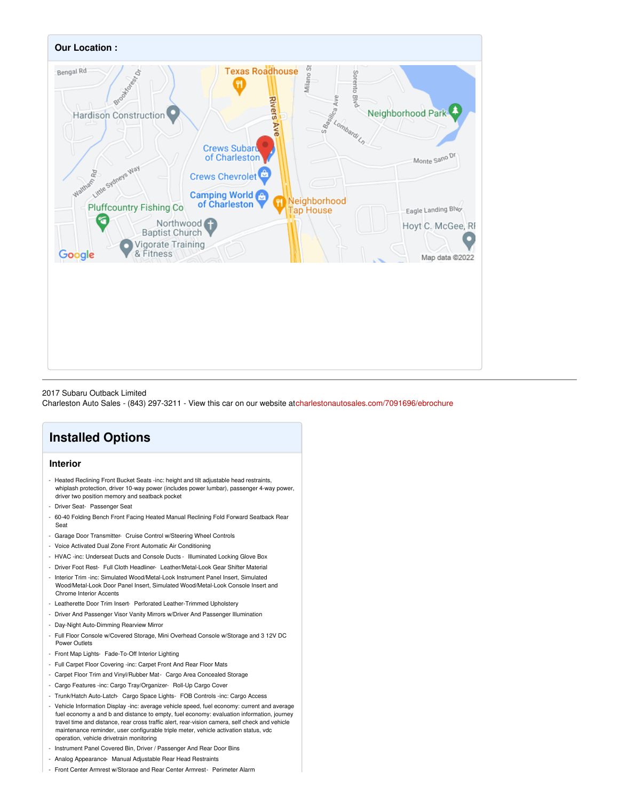

#### 2017 Subaru Outback Limited

Charleston Auto Sales - (843) 297-3211 - View this car on our website a[tcharlestonautosales.com/7091696/ebrochure](https://charlestonautosales.com/vehicle/7091696/2017-subaru-outback-limited-charleston-sc-29406/7091696/ebrochure)

# **Installed Options**

# **Interior**

- Heated Reclining Front Bucket Seats -inc: height and tilt adjustable head restraints, whiplash protection, driver 10-way power (includes power lumbar), passenger 4-way power, driver two position memory and seatback pocket
- Driver Seat- Passenger Seat
- 60-40 Folding Bench Front Facing Heated Manual Reclining Fold Forward Seatback Rear Seat
- Garage Door Transmitter- Cruise Control w/Steering Wheel Controls
- Voice Activated Dual Zone Front Automatic Air Conditioning
- HVAC -inc: Underseat Ducts and Console Ducts Illuminated Locking Glove Box
- Driver Foot Rest- Full Cloth Headliner- Leather/Metal-Look Gear Shifter Material
- Interior Trim -inc: Simulated Wood/Metal-Look Instrument Panel Insert, Simulated Wood/Metal-Look Door Panel Insert, Simulated Wood/Metal-Look Console Insert and Chrome Interior Accents
- Leatherette Door Trim Insert- Perforated Leather-Trimmed Upholstery
- Driver And Passenger Visor Vanity Mirrors w/Driver And Passenger Illumination
- Day-Night Auto-Dimming Rearview Mirror
- Full Floor Console w/Covered Storage, Mini Overhead Console w/Storage and 3 12V DC Power Outlets
- Front Map Lights- Fade-To-Off Interior Lighting
- Full Carpet Floor Covering -inc: Carpet Front And Rear Floor Mats
- Carpet Floor Trim and Vinyl/Rubber Mat- Cargo Area Concealed Storage
- Cargo Features -inc: Cargo Tray/Organizer- Roll-Up Cargo Cover
- Trunk/Hatch Auto-Latch- Cargo Space Lights- FOB Controls -inc: Cargo Access
- Vehicle Information Display -inc: average vehicle speed, fuel economy: current and average fuel economy a and b and distance to empty, fuel economy: evaluation information, journey travel time and distance, rear cross traffic alert, rear-vision camera, self check and vehicle maintenance reminder, user configurable triple meter, vehicle activation status, vdc operation, vehicle drivetrain monitoring
- Instrument Panel Covered Bin, Driver / Passenger And Rear Door Bins
- Analog Appearance- Manual Adjustable Rear Head Restraints
- Front Center Armrest w/Storage and Rear Center Armrest- Perimeter Alarm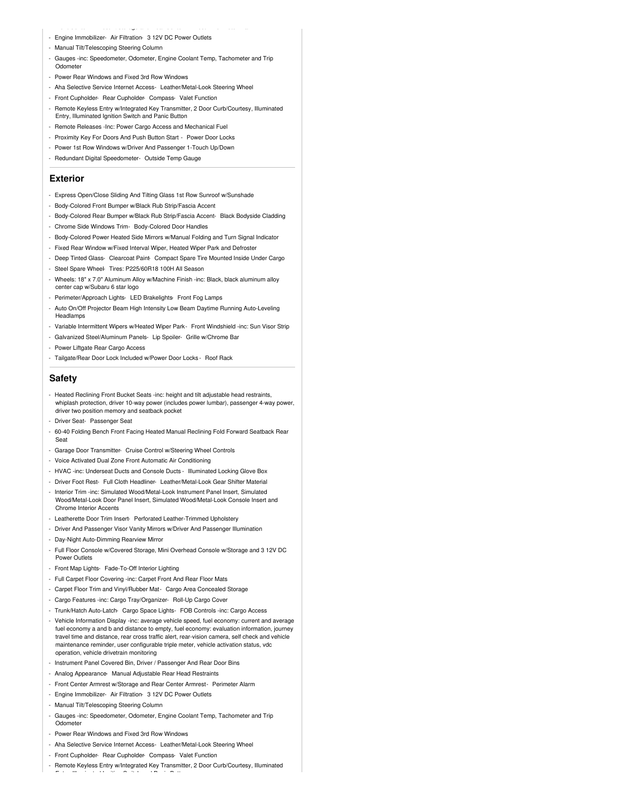- Engine Immobilizer- Air Filtration- 3 12V DC Power Outlets
- Manual Tilt/Telescoping Steering Column
- Gauges -inc: Speedometer, Odometer, Engine Coolant Temp, Tachometer and Trip Odometer
- Power Rear Windows and Fixed 3rd Row Windows
- Aha Selective Service Internet Access- Leather/Metal-Look Steering Wheel

- Front Center Armrest w/Storage and Rear Center Armrest- Perimeter Alarm

- Front Cupholder- Rear Cupholder- Compass- Valet Function
- Remote Keyless Entry w/Integrated Key Transmitter, 2 Door Curb/Courtesy, Illuminated Entry, Illuminated Ignition Switch and Panic Button
- Remote Releases -Inc: Power Cargo Access and Mechanical Fuel
- Proximity Key For Doors And Push Button Start Power Door Locks
- Power 1st Row Windows w/Driver And Passenger 1-Touch Up/Down
- Redundant Digital Speedometer- Outside Temp Gauge

## **Exterior**

- Express Open/Close Sliding And Tilting Glass 1st Row Sunroof w/Sunshade
- Body-Colored Front Bumper w/Black Rub Strip/Fascia Accent
- Body-Colored Rear Bumper w/Black Rub Strip/Fascia Accent- Black Bodyside Cladding
- Chrome Side Windows Trim- Body-Colored Door Handles
- Body-Colored Power Heated Side Mirrors w/Manual Folding and Turn Signal Indicator
- Fixed Rear Window w/Fixed Interval Wiper, Heated Wiper Park and Defroster
- Deep Tinted Glass- Clearcoat Paint- Compact Spare Tire Mounted Inside Under Cargo
- Steel Spare Wheel- Tires: P225/60R18 100H All Season
- Wheels: 18" x 7.0" Aluminum Alloy w/Machine Finish -inc: Black, black aluminum alloy center cap w/Subaru 6 star logo
- Perimeter/Approach Lights- LED Brakelights- Front Fog Lamps
- Auto On/Off Projector Beam High Intensity Low Beam Daytime Running Auto-Leveling Headlamps
- Variable Intermittent Wipers w/Heated Wiper Park- Front Windshield -inc: Sun Visor Strip
- Galvanized Steel/Aluminum Panels- Lip Spoiler- Grille w/Chrome Bar
- Power Liftgate Rear Cargo Access
- Tailgate/Rear Door Lock Included w/Power Door Locks Roof Rack

### **Safety**

- Heated Reclining Front Bucket Seats -inc: height and tilt adjustable head restraints, whiplash protection, driver 10-way power (includes power lumbar), passenger 4-way power, driver two position memory and seatback pocket
- Driver Seat- Passenger Seat
- 60-40 Folding Bench Front Facing Heated Manual Reclining Fold Forward Seatback Rear Seat
- Garage Door Transmitter- Cruise Control w/Steering Wheel Controls
- Voice Activated Dual Zone Front Automatic Air Conditioning
- HVAC -inc: Underseat Ducts and Console Ducts Illuminated Locking Glove Box
- Driver Foot Rest- Full Cloth Headliner- Leather/Metal-Look Gear Shifter Material
- Interior Trim -inc: Simulated Wood/Metal-Look Instrument Panel Insert, Simulated Wood/Metal-Look Door Panel Insert, Simulated Wood/Metal-Look Console Insert and Chrome Interior Accents
- Leatherette Door Trim Insert- Perforated Leather-Trimmed Upholstery
- Driver And Passenger Visor Vanity Mirrors w/Driver And Passenger Illumination
- Day-Night Auto-Dimming Rearview Mirror
- Full Floor Console w/Covered Storage, Mini Overhead Console w/Storage and 3 12V DC Power Outlets
- Front Map Lights- Fade-To-Off Interior Lighting
- Full Carpet Floor Covering -inc: Carpet Front And Rear Floor Mats
- Carpet Floor Trim and Vinyl/Rubber Mat- Cargo Area Concealed Storage
- Cargo Features -inc: Cargo Tray/Organizer- Roll-Up Cargo Cover
- Trunk/Hatch Auto-Latch- Cargo Space Lights- FOB Controls -inc: Cargo Access
- Vehicle Information Display -inc: average vehicle speed, fuel economy: current and average fuel economy a and b and distance to empty, fuel economy: evaluation information, journey travel time and distance, rear cross traffic alert, rear-vision camera, self check and vehicle maintenance reminder, user configurable triple meter, vehicle activation status, vdc operation, vehicle drivetrain monitoring
- Instrument Panel Covered Bin, Driver / Passenger And Rear Door Bins
- Analog Appearance- Manual Adjustable Rear Head Restraints
- Front Center Armrest w/Storage and Rear Center Armrest- Perimeter Alarm
- Engine Immobilizer- Air Filtration- 3 12V DC Power Outlets
- Manual Tilt/Telescoping Steering Column
- Gauges -inc: Speedometer, Odometer, Engine Coolant Temp, Tachometer and Trip **Odometer**
- Power Rear Windows and Fixed 3rd Row Windows

Entry, Illuminated Ignition Switch and Panic Button

- Aha Selective Service Internet Access- Leather/Metal-Look Steering Wheel
- Front Cupholder- Rear Cupholder- Compass- Valet Function
- Remote Keyless Entry w/Integrated Key Transmitter, 2 Door Curb/Courtesy, Illuminated